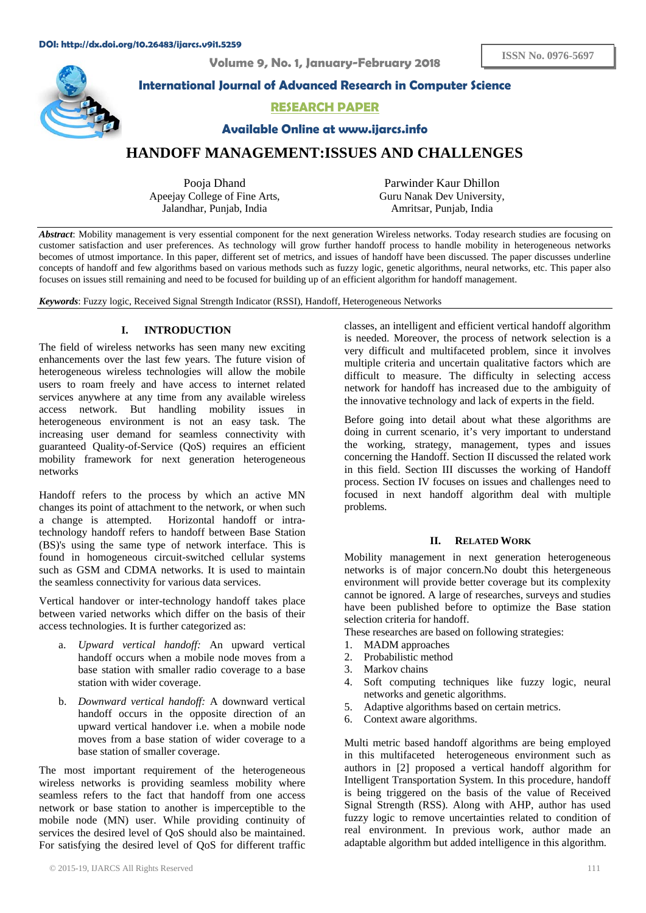**Volume 9, No. 1, January-February 2018** 



## **International Journal of Advanced Research in Computer Science**

# **RESEARCH PAPER**

**Available Online at www.ijarcs.info** 

# **HANDOFF MANAGEMENT:ISSUES AND CHALLENGES**

Pooja Dhand Apeejay College of Fine Arts, Jalandhar, Punjab, India

Parwinder Kaur Dhillon Guru Nanak Dev University, Amritsar, Punjab, India

*Abstract*: Mobility management is very essential component for the next generation Wireless networks. Today research studies are focusing on customer satisfaction and user preferences. As technology will grow further handoff process to handle mobility in heterogeneous networks becomes of utmost importance. In this paper, different set of metrics, and issues of handoff have been discussed. The paper discusses underline concepts of handoff and few algorithms based on various methods such as fuzzy logic, genetic algorithms, neural networks, etc. This paper also focuses on issues still remaining and need to be focused for building up of an efficient algorithm for handoff management.

*Keywords*: Fuzzy logic, Received Signal Strength Indicator (RSSI), Handoff, Heterogeneous Networks

## **I. INTRODUCTION**

The field of wireless networks has seen many new exciting enhancements over the last few years. The future vision of heterogeneous wireless technologies will allow the mobile users to roam freely and have access to internet related services anywhere at any time from any available wireless access network. But handling mobility issues in heterogeneous environment is not an easy task. The increasing user demand for seamless connectivity with guaranteed Quality-of-Service (QoS) requires an efficient mobility framework for next generation heterogeneous networks

Handoff refers to the process by which an active MN changes its point of attachment to the network, or when such a change is attempted. Horizontal handoff or intratechnology handoff refers to handoff between Base Station (BS)'s using the same type of network interface. This is found in homogeneous circuit-switched cellular systems such as GSM and CDMA networks. It is used to maintain the seamless connectivity for various data services.

Vertical handover or inter-technology handoff takes place between varied networks which differ on the basis of their access technologies. It is further categorized as:

- a. *Upward vertical handoff:* An upward vertical handoff occurs when a mobile node moves from a base station with smaller radio coverage to a base station with wider coverage.
- b. *Downward vertical handoff:* A downward vertical handoff occurs in the opposite direction of an upward vertical handover i.e. when a mobile node moves from a base station of wider coverage to a base station of smaller coverage.

The most important requirement of the heterogeneous wireless networks is providing seamless mobility where seamless refers to the fact that handoff from one access network or base station to another is imperceptible to the mobile node (MN) user. While providing continuity of services the desired level of QoS should also be maintained. For satisfying the desired level of QoS for different traffic

classes, an intelligent and efficient vertical handoff algorithm is needed. Moreover, the process of network selection is a very difficult and multifaceted problem, since it involves multiple criteria and uncertain qualitative factors which are difficult to measure. The difficulty in selecting access network for handoff has increased due to the ambiguity of the innovative technology and lack of experts in the field.

Before going into detail about what these algorithms are doing in current scenario, it's very important to understand the working, strategy, management, types and issues concerning the Handoff. Section II discussed the related work in this field. Section III discusses the working of Handoff process. Section IV focuses on issues and challenges need to focused in next handoff algorithm deal with multiple problems.

## **II. RELATED WORK**

Mobility management in next generation heterogeneous networks is of major concern.No doubt this hetergeneous environment will provide better coverage but its complexity cannot be ignored. A large of researches, surveys and studies have been published before to optimize the Base station selection criteria for handoff.

These researches are based on following strategies:

- 1. MADM approaches
- 2. Probabilistic method
- 3. Markov chains
- 4. Soft computing techniques like fuzzy logic, neural networks and genetic algorithms.
- 5. Adaptive algorithms based on certain metrics.
- 6. Context aware algorithms.

Multi metric based handoff algorithms are being employed in this multifaceted heterogeneous environment such as authors in [2] proposed a vertical handoff algorithm for Intelligent Transportation System. In this procedure, handoff is being triggered on the basis of the value of Received Signal Strength (RSS). Along with AHP, author has used fuzzy logic to remove uncertainties related to condition of real environment. In previous work, author made an adaptable algorithm but added intelligence in this algorithm.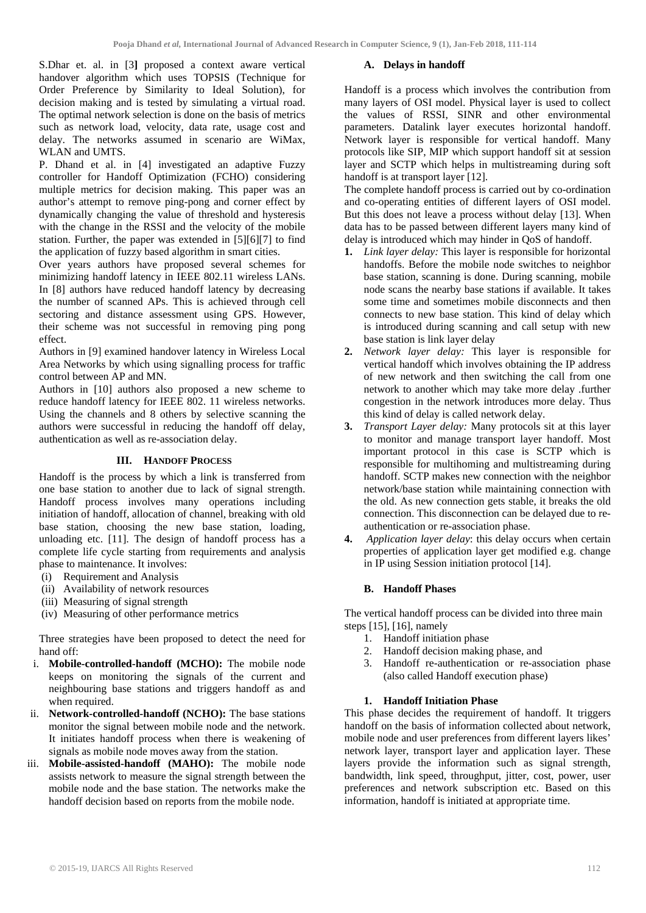S.Dhar et. al. in [3**]** proposed a context aware vertical handover algorithm which uses TOPSIS (Technique for Order Preference by Similarity to Ideal Solution), for decision making and is tested by simulating a virtual road. The optimal network selection is done on the basis of metrics such as network load, velocity, data rate, usage cost and delay. The networks assumed in scenario are WiMax, WLAN and UMTS.

P. Dhand et al. in [4] investigated an adaptive Fuzzy controller for Handoff Optimization (FCHO) considering multiple metrics for decision making. This paper was an author's attempt to remove ping-pong and corner effect by dynamically changing the value of threshold and hysteresis with the change in the RSSI and the velocity of the mobile station. Further, the paper was extended in [5][6][7] to find the application of fuzzy based algorithm in smart cities.

Over years authors have proposed several schemes for minimizing handoff latency in IEEE 802.11 wireless LANs. In [8] authors have reduced handoff latency by decreasing the number of scanned APs. This is achieved through cell sectoring and distance assessment using GPS. However, their scheme was not successful in removing ping pong effect.

Authors in [9] examined handover latency in Wireless Local Area Networks by which using signalling process for traffic control between AP and MN.

Authors in [10] authors also proposed a new scheme to reduce handoff latency for IEEE 802. 11 wireless networks. Using the channels and 8 others by selective scanning the authors were successful in reducing the handoff off delay, authentication as well as re-association delay.

## **III. HANDOFF PROCESS**

Handoff is the process by which a link is transferred from one base station to another due to lack of signal strength. Handoff process involves many operations including initiation of handoff, allocation of channel, breaking with old base station, choosing the new base station, loading, unloading etc. [11]. The design of handoff process has a complete life cycle starting from requirements and analysis phase to maintenance. It involves:

- (i) Requirement and Analysis
- (ii) Availability of network resources
- (iii) Measuring of signal strength
- (iv) Measuring of other performance metrics

Three strategies have been proposed to detect the need for hand off:

- i. **Mobile-controlled-handoff (MCHO):** The mobile node keeps on monitoring the signals of the current and neighbouring base stations and triggers handoff as and when required.
- ii. **Network-controlled-handoff (NCHO):** The base stations monitor the signal between mobile node and the network. It initiates handoff process when there is weakening of signals as mobile node moves away from the station.
- Mobile-assisted-handoff (MAHO): The mobile node assists network to measure the signal strength between the mobile node and the base station. The networks make the handoff decision based on reports from the mobile node.

#### **A. Delays in handoff**

Handoff is a process which involves the contribution from many layers of OSI model. Physical layer is used to collect the values of RSSI, SINR and other environmental parameters. Datalink layer executes horizontal handoff. Network layer is responsible for vertical handoff. Many protocols like SIP, MIP which support handoff sit at session layer and SCTP which helps in multistreaming during soft handoff is at transport layer [12].

The complete handoff process is carried out by co-ordination and co-operating entities of different layers of OSI model. But this does not leave a process without delay [13]. When data has to be passed between different layers many kind of delay is introduced which may hinder in QoS of handoff.

- **1.** *Link layer delay:* This layer is responsible for horizontal handoffs. Before the mobile node switches to neighbor base station, scanning is done. During scanning, mobile node scans the nearby base stations if available. It takes some time and sometimes mobile disconnects and then connects to new base station. This kind of delay which is introduced during scanning and call setup with new base station is link layer delay
- **2.** *Network layer delay:* This layer is responsible for vertical handoff which involves obtaining the IP address of new network and then switching the call from one network to another which may take more delay .further congestion in the network introduces more delay. Thus this kind of delay is called network delay.
- **3.** *Transport Layer delay:* Many protocols sit at this layer to monitor and manage transport layer handoff. Most important protocol in this case is SCTP which is responsible for multihoming and multistreaming during handoff. SCTP makes new connection with the neighbor network/base station while maintaining connection with the old. As new connection gets stable, it breaks the old connection. This disconnection can be delayed due to reauthentication or re-association phase.
- **4.** *Application layer delay*: this delay occurs when certain properties of application layer get modified e.g. change in IP using Session initiation protocol [14].

#### **B. Handoff Phases**

The vertical handoff process can be divided into three main steps [15], [16], namely

- 1. Handoff initiation phase
- 2. Handoff decision making phase, and
- 3. Handoff re-authentication or re-association phase (also called Handoff execution phase)

#### **1. Handoff Initiation Phase**

This phase decides the requirement of handoff. It triggers handoff on the basis of information collected about network, mobile node and user preferences from different layers likes' network layer, transport layer and application layer. These layers provide the information such as signal strength, bandwidth, link speed, throughput, jitter, cost, power, user preferences and network subscription etc. Based on this information, handoff is initiated at appropriate time.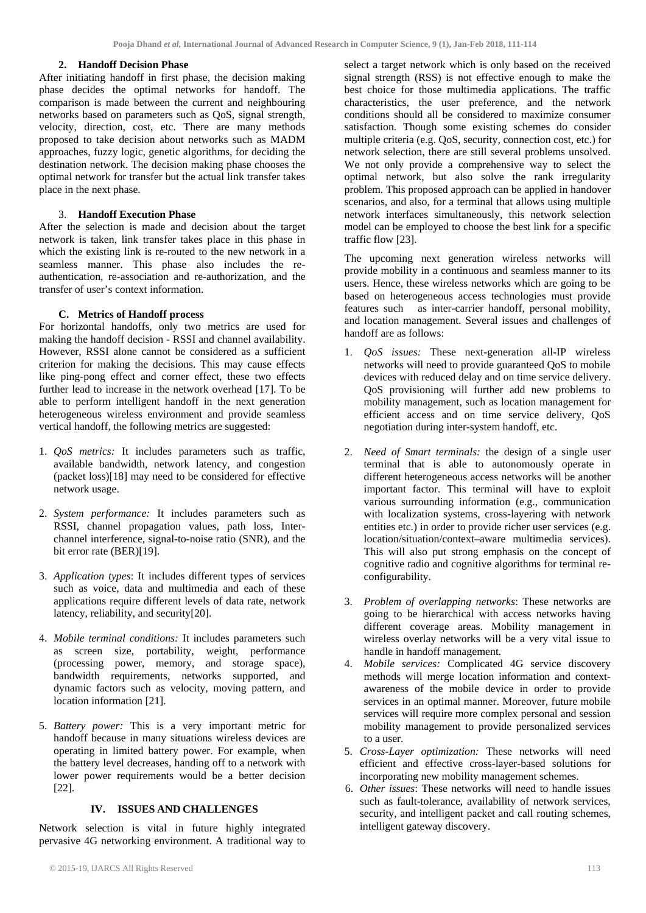#### **2. Handoff Decision Phase**

After initiating handoff in first phase, the decision making phase decides the optimal networks for handoff. The comparison is made between the current and neighbouring networks based on parameters such as QoS, signal strength, velocity, direction, cost, etc. There are many methods proposed to take decision about networks such as MADM approaches, fuzzy logic, genetic algorithms, for deciding the destination network. The decision making phase chooses the optimal network for transfer but the actual link transfer takes place in the next phase.

## 3. **Handoff Execution Phase**

After the selection is made and decision about the target network is taken, link transfer takes place in this phase in which the existing link is re-routed to the new network in a seamless manner. This phase also includes the reauthentication, re-association and re-authorization, and the transfer of user's context information.

## **C. Metrics of Handoff process**

For horizontal handoffs, only two metrics are used for making the handoff decision - RSSI and channel availability. However, RSSI alone cannot be considered as a sufficient criterion for making the decisions. This may cause effects like ping-pong effect and corner effect, these two effects further lead to increase in the network overhead [17]. To be able to perform intelligent handoff in the next generation heterogeneous wireless environment and provide seamless vertical handoff, the following metrics are suggested:

- 1. *QoS metrics:* It includes parameters such as traffic, available bandwidth, network latency, and congestion (packet loss)[18] may need to be considered for effective network usage.
- 2. *System performance:* It includes parameters such as RSSI, channel propagation values, path loss, Interchannel interference, signal-to-noise ratio (SNR), and the bit error rate (BER)[19].
- 3. *Application types*: It includes different types of services such as voice, data and multimedia and each of these applications require different levels of data rate, network latency, reliability, and security[20].
- 4. *Mobile terminal conditions:* It includes parameters such as screen size, portability, weight, performance (processing power, memory, and storage space), bandwidth requirements, networks supported, and dynamic factors such as velocity, moving pattern, and location information [21].
- 5. *Battery power:* This is a very important metric for handoff because in many situations wireless devices are operating in limited battery power. For example, when the battery level decreases, handing off to a network with lower power requirements would be a better decision [22].

#### **IV. ISSUES AND CHALLENGES**

Network selection is vital in future highly integrated pervasive 4G networking environment. A traditional way to

select a target network which is only based on the received signal strength (RSS) is not effective enough to make the best choice for those multimedia applications. The traffic characteristics, the user preference, and the network conditions should all be considered to maximize consumer satisfaction. Though some existing schemes do consider multiple criteria (e.g. QoS, security, connection cost, etc.) for network selection, there are still several problems unsolved. We not only provide a comprehensive way to select the optimal network, but also solve the rank irregularity problem. This proposed approach can be applied in handover scenarios, and also, for a terminal that allows using multiple network interfaces simultaneously, this network selection model can be employed to choose the best link for a specific traffic flow [23].

The upcoming next generation wireless networks will provide mobility in a continuous and seamless manner to its users. Hence, these wireless networks which are going to be based on heterogeneous access technologies must provide features such as inter-carrier handoff, personal mobility, and location management. Several issues and challenges of handoff are as follows:

- 1. *QoS issues:* These next-generation all-IP wireless networks will need to provide guaranteed QoS to mobile devices with reduced delay and on time service delivery. QoS provisioning will further add new problems to mobility management, such as location management for efficient access and on time service delivery, QoS negotiation during inter-system handoff, etc.
- 2. *Need of Smart terminals:* the design of a single user terminal that is able to autonomously operate in different heterogeneous access networks will be another important factor. This terminal will have to exploit various surrounding information (e.g., communication with localization systems, cross-layering with network entities etc.) in order to provide richer user services (e.g. location/situation/context–aware multimedia services). This will also put strong emphasis on the concept of cognitive radio and cognitive algorithms for terminal reconfigurability.
- 3. *Problem of overlapping networks*: These networks are going to be hierarchical with access networks having different coverage areas. Mobility management in wireless overlay networks will be a very vital issue to handle in handoff management.
- 4. *Mobile services:* Complicated 4G service discovery methods will merge location information and contextawareness of the mobile device in order to provide services in an optimal manner. Moreover, future mobile services will require more complex personal and session mobility management to provide personalized services to a user.
- 5. *Cross-Layer optimization:* These networks will need efficient and effective cross-layer-based solutions for incorporating new mobility management schemes.
- 6. *Other issues*: These networks will need to handle issues such as fault-tolerance, availability of network services, security, and intelligent packet and call routing schemes, intelligent gateway discovery.